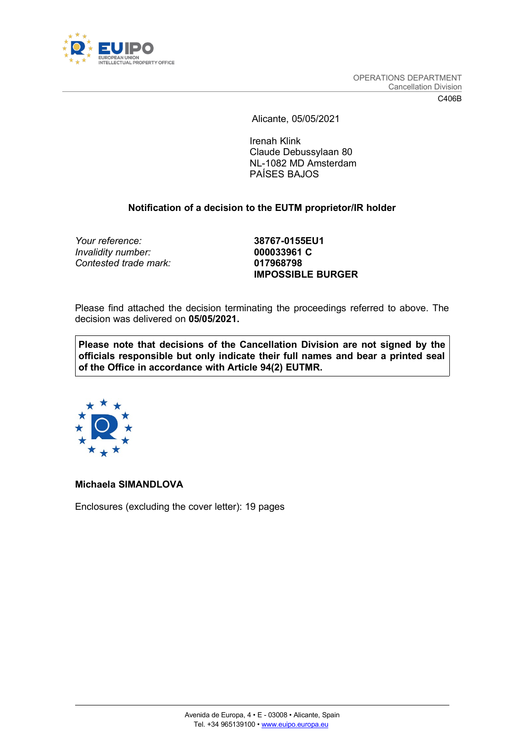

Alicante, 05/05/2021

Irenah Klink Claude Debussylaan 80 NL-1082 MD Amsterdam PAÍSES BAJOS

## **Notification of a decision to the EUTM proprietor/IR holder**

*Your reference:* **38767-0155EU1** *Invalidity number:* **000033961 C** *Contested trade mark:* **017968798**

**IMPOSSIBLE BURGER**

Please find attached the decision terminating the proceedings referred to above. The decision was delivered on **05/05/2021.**

**Please note that decisions of the Cancellation Division are not signed by the officials responsible but only indicate their full names and bear a printed seal of the Office in accordance with Article 94(2) EUTMR.**



### **Michaela SIMANDLOVA**

Enclosures (excluding the cover letter): 19 pages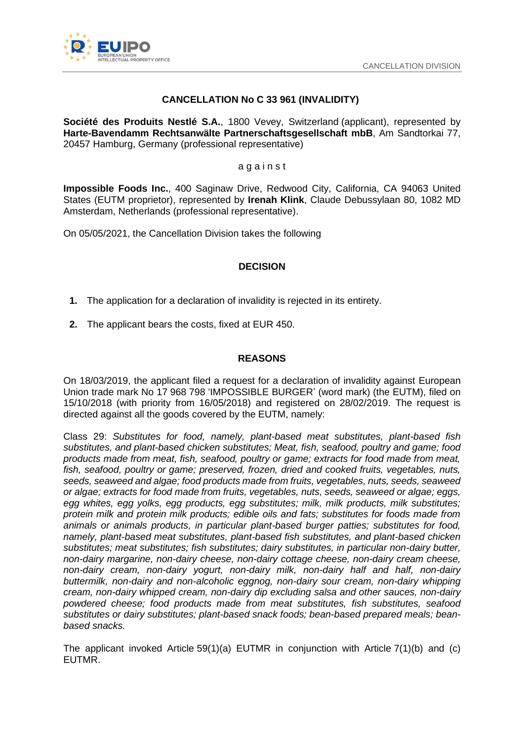

# **CANCELLATION No C 33 961 (INVALIDITY)**

**Société des Produits Nestlé S.A.**, 1800 Vevey, Switzerland (applicant), represented by **Harte-Bavendamm Rechtsanwälte Partnerschaftsgesellschaft mbB**, Am Sandtorkai 77, 20457 Hamburg, Germany (professional representative)

#### a g a i n s t

**Impossible Foods Inc.**, 400 Saginaw Drive, Redwood City, California, CA 94063 United States (EUTM proprietor), represented by **Irenah Klink**, Claude Debussylaan 80, 1082 MD Amsterdam, Netherlands (professional representative).

On 05/05/2021, the Cancellation Division takes the following

### **DECISION**

- **1.** The application for a declaration of invalidity is rejected in its entirety.
- **2.** The applicant bears the costs, fixed at EUR 450.

### **REASONS**

On 18/03/2019, the applicant filed a request for a declaration of invalidity against European Union trade mark No 17 968 798 'IMPOSSIBLE BURGER' (word mark) (the EUTM), filed on 15/10/2018 (with priority from 16/05/2018) and registered on 28/02/2019. The request is directed against all the goods covered by the EUTM, namely:

Class 29: *Substitutes for food, namely, plant-based meat substitutes, plant-based fish substitutes, and plant-based chicken substitutes; Meat, fish, seafood, poultry and game; food products made from meat, fish, seafood, poultry or game; extracts for food made from meat, fish, seafood, poultry or game; preserved, frozen, dried and cooked fruits, vegetables, nuts, seeds, seaweed and algae; food products made from fruits, vegetables, nuts, seeds, seaweed or algae; extracts for food made from fruits, vegetables, nuts, seeds, seaweed or algae; eggs, egg whites, egg yolks, egg products, egg substitutes; milk, milk products, milk substitutes; protein milk and protein milk products; edible oils and fats; substitutes for foods made from animals or animals products, in particular plant-based burger patties; substitutes for food, namely, plant-based meat substitutes, plant-based fish substitutes, and plant-based chicken substitutes; meat substitutes; fish substitutes; dairy substitutes, in particular non-dairy butter, non-dairy margarine, non-dairy cheese, non-dairy cottage cheese, non-dairy cream cheese, non-dairy cream, non-dairy yogurt, non-dairy milk, non-dairy half and half, non-dairy buttermilk, non-dairy and non-alcoholic eggnog, non-dairy sour cream, non-dairy whipping cream, non-dairy whipped cream, non-dairy dip excluding salsa and other sauces, non-dairy powdered cheese; food products made from meat substitutes, fish substitutes, seafood substitutes or dairy substitutes; plant-based snack foods; bean-based prepared meals; beanbased snacks.*

The applicant invoked Article 59(1)(a) EUTMR in conjunction with Article  $7(1)(b)$  and (c) EUTMR.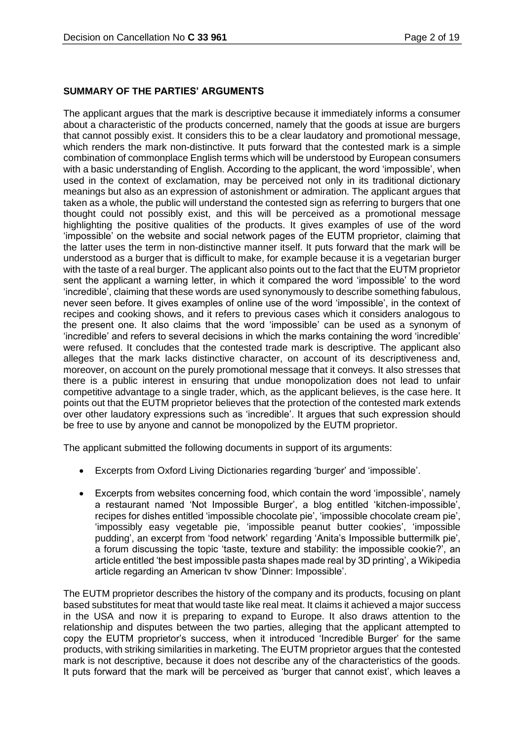### **SUMMARY OF THE PARTIES' ARGUMENTS**

The applicant argues that the mark is descriptive because it immediately informs a consumer about a characteristic of the products concerned, namely that the goods at issue are burgers that cannot possibly exist. It considers this to be a clear laudatory and promotional message, which renders the mark non-distinctive. It puts forward that the contested mark is a simple combination of commonplace English terms which will be understood by European consumers with a basic understanding of English. According to the applicant, the word 'impossible', when used in the context of exclamation, may be perceived not only in its traditional dictionary meanings but also as an expression of astonishment or admiration. The applicant argues that taken as a whole, the public will understand the contested sign as referring to burgers that one thought could not possibly exist, and this will be perceived as a promotional message highlighting the positive qualities of the products. It gives examples of use of the word 'impossible' on the website and social network pages of the EUTM proprietor, claiming that the latter uses the term in non-distinctive manner itself. It puts forward that the mark will be understood as a burger that is difficult to make, for example because it is a vegetarian burger with the taste of a real burger. The applicant also points out to the fact that the EUTM proprietor sent the applicant a warning letter, in which it compared the word 'impossible' to the word 'incredible', claiming that these words are used synonymously to describe something fabulous, never seen before. It gives examples of online use of the word 'impossible', in the context of recipes and cooking shows, and it refers to previous cases which it considers analogous to the present one. It also claims that the word 'impossible' can be used as a synonym of 'incredible' and refers to several decisions in which the marks containing the word 'incredible' were refused. It concludes that the contested trade mark is descriptive. The applicant also alleges that the mark lacks distinctive character, on account of its descriptiveness and, moreover, on account on the purely promotional message that it conveys. It also stresses that there is a public interest in ensuring that undue monopolization does not lead to unfair competitive advantage to a single trader, which, as the applicant believes, is the case here. It points out that the EUTM proprietor believes that the protection of the contested mark extends over other laudatory expressions such as 'incredible'. It argues that such expression should be free to use by anyone and cannot be monopolized by the EUTM proprietor.

The applicant submitted the following documents in support of its arguments:

- Excerpts from Oxford Living Dictionaries regarding 'burger' and 'impossible'.
- Excerpts from websites concerning food, which contain the word 'impossible', namely a restaurant named 'Not Impossible Burger', a blog entitled 'kitchen-impossible', recipes for dishes entitled 'impossible chocolate pie', 'impossible chocolate cream pie', 'impossibly easy vegetable pie, 'impossible peanut butter cookies', 'impossible pudding', an excerpt from 'food network' regarding 'Anita's Impossible buttermilk pie', a forum discussing the topic 'taste, texture and stability: the impossible cookie?', an article entitled 'the best impossible pasta shapes made real by 3D printing', a Wikipedia article regarding an American tv show 'Dinner: Impossible'.

The EUTM proprietor describes the history of the company and its products, focusing on plant based substitutes for meat that would taste like real meat. It claims it achieved a major success in the USA and now it is preparing to expand to Europe. It also draws attention to the relationship and disputes between the two parties, alleging that the applicant attempted to copy the EUTM proprietor's success, when it introduced 'Incredible Burger' for the same products, with striking similarities in marketing. The EUTM proprietor argues that the contested mark is not descriptive, because it does not describe any of the characteristics of the goods. It puts forward that the mark will be perceived as 'burger that cannot exist', which leaves a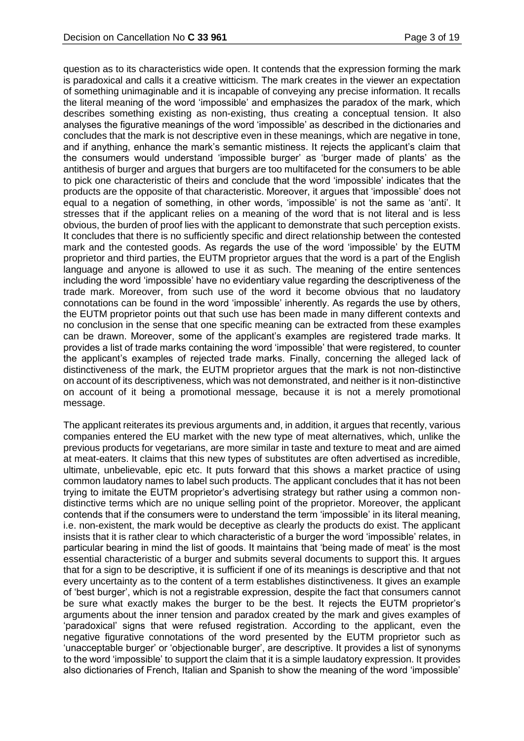question as to its characteristics wide open. It contends that the expression forming the mark is paradoxical and calls it a creative witticism. The mark creates in the viewer an expectation of something unimaginable and it is incapable of conveying any precise information. It recalls the literal meaning of the word 'impossible' and emphasizes the paradox of the mark, which describes something existing as non-existing, thus creating a conceptual tension. It also analyses the figurative meanings of the word 'impossible' as described in the dictionaries and concludes that the mark is not descriptive even in these meanings, which are negative in tone, and if anything, enhance the mark's semantic mistiness. It rejects the applicant's claim that the consumers would understand 'impossible burger' as 'burger made of plants' as the antithesis of burger and argues that burgers are too multifaceted for the consumers to be able to pick one characteristic of theirs and conclude that the word 'impossible' indicates that the products are the opposite of that characteristic. Moreover, it argues that 'impossible' does not equal to a negation of something, in other words, 'impossible' is not the same as 'anti'. It stresses that if the applicant relies on a meaning of the word that is not literal and is less obvious, the burden of proof lies with the applicant to demonstrate that such perception exists. It concludes that there is no sufficiently specific and direct relationship between the contested mark and the contested goods. As regards the use of the word 'impossible' by the EUTM proprietor and third parties, the EUTM proprietor argues that the word is a part of the English language and anyone is allowed to use it as such. The meaning of the entire sentences including the word 'impossible' have no evidentiary value regarding the descriptiveness of the trade mark. Moreover, from such use of the word it become obvious that no laudatory connotations can be found in the word 'impossible' inherently. As regards the use by others, the EUTM proprietor points out that such use has been made in many different contexts and no conclusion in the sense that one specific meaning can be extracted from these examples can be drawn. Moreover, some of the applicant's examples are registered trade marks. It provides a list of trade marks containing the word 'impossible' that were registered, to counter the applicant's examples of rejected trade marks. Finally, concerning the alleged lack of distinctiveness of the mark, the EUTM proprietor argues that the mark is not non-distinctive on account of its descriptiveness, which was not demonstrated, and neither is it non-distinctive on account of it being a promotional message, because it is not a merely promotional message.

The applicant reiterates its previous arguments and, in addition, it argues that recently, various companies entered the EU market with the new type of meat alternatives, which, unlike the previous products for vegetarians, are more similar in taste and texture to meat and are aimed at meat-eaters. It claims that this new types of substitutes are often advertised as incredible, ultimate, unbelievable, epic etc. It puts forward that this shows a market practice of using common laudatory names to label such products. The applicant concludes that it has not been trying to imitate the EUTM proprietor's advertising strategy but rather using a common nondistinctive terms which are no unique selling point of the proprietor. Moreover, the applicant contends that if the consumers were to understand the term 'impossible' in its literal meaning, i.e. non-existent, the mark would be deceptive as clearly the products do exist. The applicant insists that it is rather clear to which characteristic of a burger the word 'impossible' relates, in particular bearing in mind the list of goods. It maintains that 'being made of meat' is the most essential characteristic of a burger and submits several documents to support this. It argues that for a sign to be descriptive, it is sufficient if one of its meanings is descriptive and that not every uncertainty as to the content of a term establishes distinctiveness. It gives an example of 'best burger', which is not a registrable expression, despite the fact that consumers cannot be sure what exactly makes the burger to be the best. It rejects the EUTM proprietor's arguments about the inner tension and paradox created by the mark and gives examples of 'paradoxical' signs that were refused registration. According to the applicant, even the negative figurative connotations of the word presented by the EUTM proprietor such as 'unacceptable burger' or 'objectionable burger', are descriptive. It provides a list of synonyms to the word 'impossible' to support the claim that it is a simple laudatory expression. It provides also dictionaries of French, Italian and Spanish to show the meaning of the word 'impossible'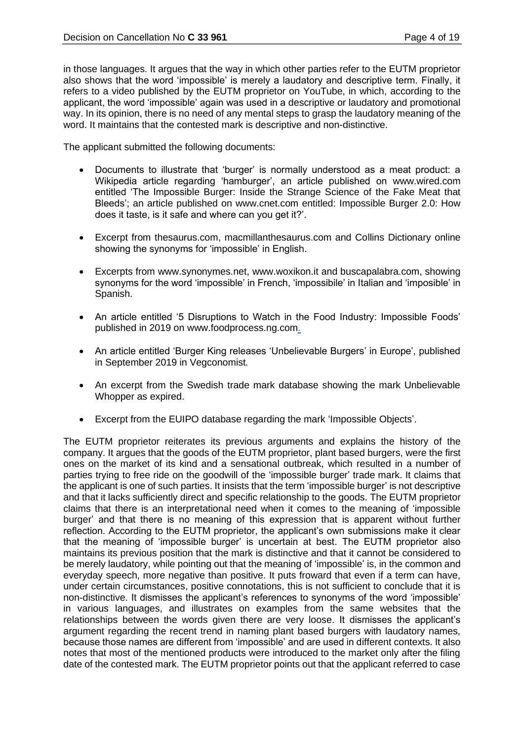in those languages. It argues that the way in which other parties refer to the EUTM proprietor also shows that the word 'impossible' is merely a laudatory and descriptive term. Finally, it refers to a video published by the EUTM proprietor on YouTube, in which, according to the applicant, the word 'impossible' again was used in a descriptive or laudatory and promotional way. In its opinion, there is no need of any mental steps to grasp the laudatory meaning of the word. It maintains that the contested mark is descriptive and non-distinctive.

The applicant submitted the following documents:

- Documents to illustrate that 'burger' is normally understood as a meat product: a Wikipedia article regarding 'hamburger', an article published on www.wired.com entitled 'The Impossible Burger: Inside the Strange Science of the Fake Meat that Bleeds'; an article published on www.cnet.com entitled: Impossible Burger 2.0: How does it taste, is it safe and where can you get it?'.
- Excerpt from thesaurus.com, macmillanthesaurus.com and Collins Dictionary online showing the synonyms for 'impossible' in English.
- Excerpts from www.synonymes.net, www.woxikon.it and buscapalabra.com, showing synonyms for the word 'impossible' in French, 'impossibile' in Italian and 'imposible' in Spanish.
- An article entitled '5 Disruptions to Watch in the Food Industry: Impossible Foods' published in 2019 on www.foodprocess.ng.com.
- An article entitled 'Burger King releases 'Unbelievable Burgers' in Europe', published in September 2019 in Vegconomist*.*
- An excerpt from the Swedish trade mark database showing the mark Unbelievable Whopper as expired.
- Excerpt from the EUIPO database regarding the mark 'Impossible Objects'.

The EUTM proprietor reiterates its previous arguments and explains the history of the company. It argues that the goods of the EUTM proprietor, plant based burgers, were the first ones on the market of its kind and a sensational outbreak, which resulted in a number of parties trying to free ride on the goodwill of the 'impossible burger' trade mark. It claims that the applicant is one of such parties. It insists that the term 'impossible burger' is not descriptive and that it lacks sufficiently direct and specific relationship to the goods. The EUTM proprietor claims that there is an interpretational need when it comes to the meaning of 'impossible burger' and that there is no meaning of this expression that is apparent without further reflection. According to the EUTM proprietor, the applicant's own submissions make it clear that the meaning of 'impossible burger' is uncertain at best. The EUTM proprietor also maintains its previous position that the mark is distinctive and that it cannot be considered to be merely laudatory, while pointing out that the meaning of 'impossible' is, in the common and everyday speech, more negative than positive. It puts froward that even if a term can have, under certain circumstances, positive connotations, this is not sufficient to conclude that it is non-distinctive. It dismisses the applicant's references to synonyms of the word 'impossible' in various languages, and illustrates on examples from the same websites that the relationships between the words given there are very loose. It dismisses the applicant's argument regarding the recent trend in naming plant based burgers with laudatory names, because those names are different from 'impossible' and are used in different contexts. It also notes that most of the mentioned products were introduced to the market only after the filing date of the contested mark. The EUTM proprietor points out that the applicant referred to case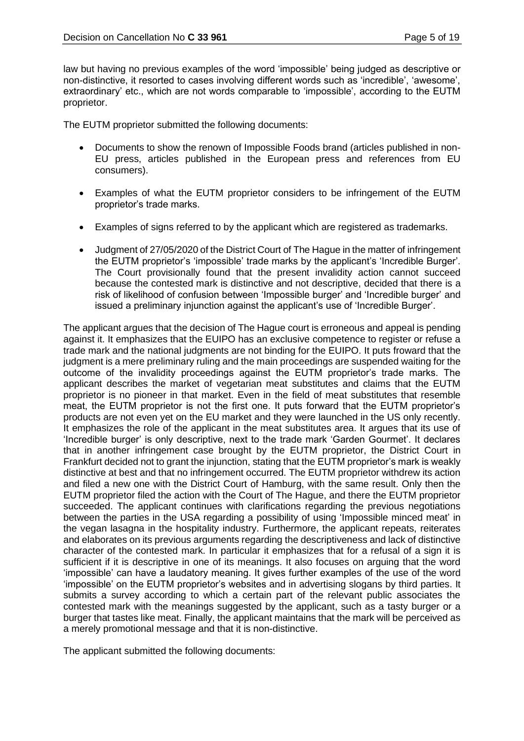law but having no previous examples of the word 'impossible' being judged as descriptive or non-distinctive, it resorted to cases involving different words such as 'incredible', 'awesome', extraordinary' etc., which are not words comparable to 'impossible', according to the EUTM proprietor.

The EUTM proprietor submitted the following documents:

- Documents to show the renown of Impossible Foods brand (articles published in non-EU press, articles published in the European press and references from EU consumers).
- Examples of what the EUTM proprietor considers to be infringement of the EUTM proprietor's trade marks.
- Examples of signs referred to by the applicant which are registered as trademarks.
- Judgment of 27/05/2020 of the District Court of The Hague in the matter of infringement the EUTM proprietor's 'impossible' trade marks by the applicant's 'Incredible Burger'. The Court provisionally found that the present invalidity action cannot succeed because the contested mark is distinctive and not descriptive, decided that there is a risk of likelihood of confusion between 'Impossible burger' and 'Incredible burger' and issued a preliminary injunction against the applicant's use of 'Incredible Burger'.

The applicant argues that the decision of The Hague court is erroneous and appeal is pending against it. It emphasizes that the EUIPO has an exclusive competence to register or refuse a trade mark and the national judgments are not binding for the EUIPO. It puts froward that the judgment is a mere preliminary ruling and the main proceedings are suspended waiting for the outcome of the invalidity proceedings against the EUTM proprietor's trade marks. The applicant describes the market of vegetarian meat substitutes and claims that the EUTM proprietor is no pioneer in that market. Even in the field of meat substitutes that resemble meat, the EUTM proprietor is not the first one. It puts forward that the EUTM proprietor's products are not even yet on the EU market and they were launched in the US only recently. It emphasizes the role of the applicant in the meat substitutes area. It argues that its use of 'Incredible burger' is only descriptive, next to the trade mark 'Garden Gourmet'. It declares that in another infringement case brought by the EUTM proprietor, the District Court in Frankfurt decided not to grant the injunction, stating that the EUTM proprietor's mark is weakly distinctive at best and that no infringement occurred. The EUTM proprietor withdrew its action and filed a new one with the District Court of Hamburg, with the same result. Only then the EUTM proprietor filed the action with the Court of The Hague, and there the EUTM proprietor succeeded. The applicant continues with clarifications regarding the previous negotiations between the parties in the USA regarding a possibility of using 'Impossible minced meat' in the vegan lasagna in the hospitality industry. Furthermore, the applicant repeats, reiterates and elaborates on its previous arguments regarding the descriptiveness and lack of distinctive character of the contested mark. In particular it emphasizes that for a refusal of a sign it is sufficient if it is descriptive in one of its meanings. It also focuses on arguing that the word 'impossible' can have a laudatory meaning. It gives further examples of the use of the word 'impossible' on the EUTM proprietor's websites and in advertising slogans by third parties. It submits a survey according to which a certain part of the relevant public associates the contested mark with the meanings suggested by the applicant, such as a tasty burger or a burger that tastes like meat. Finally, the applicant maintains that the mark will be perceived as a merely promotional message and that it is non-distinctive.

The applicant submitted the following documents: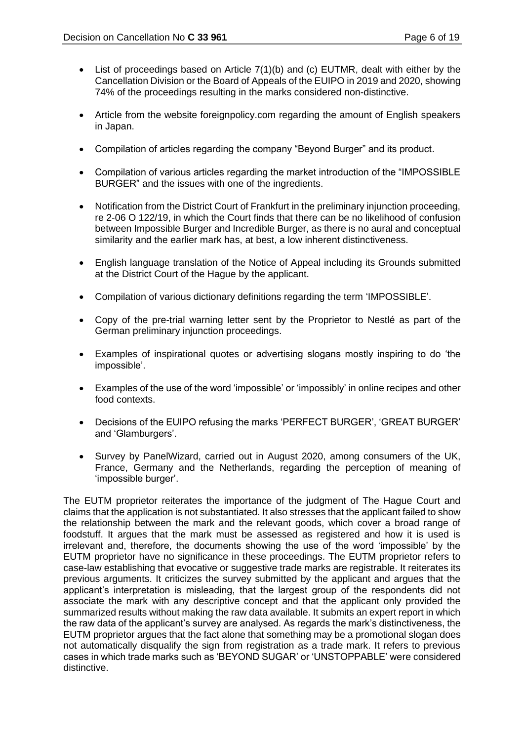- List of proceedings based on Article 7(1)(b) and (c) EUTMR, dealt with either by the Cancellation Division or the Board of Appeals of the EUIPO in 2019 and 2020, showing 74% of the proceedings resulting in the marks considered non-distinctive.
- Article from the website foreignpolicy.com regarding the amount of English speakers in Japan.
- Compilation of articles regarding the company "Beyond Burger" and its product.
- Compilation of various articles regarding the market introduction of the "IMPOSSIBLE BURGER" and the issues with one of the ingredients.
- Notification from the District Court of Frankfurt in the preliminary injunction proceeding, re 2-06 O 122/19, in which the Court finds that there can be no likelihood of confusion between Impossible Burger and Incredible Burger, as there is no aural and conceptual similarity and the earlier mark has, at best, a low inherent distinctiveness.
- English language translation of the Notice of Appeal including its Grounds submitted at the District Court of the Hague by the applicant.
- Compilation of various dictionary definitions regarding the term 'IMPOSSIBLE'.
- Copy of the pre-trial warning letter sent by the Proprietor to Nestlé as part of the German preliminary injunction proceedings.
- Examples of inspirational quotes or advertising slogans mostly inspiring to do 'the impossible'.
- Examples of the use of the word 'impossible' or 'impossibly' in online recipes and other food contexts.
- Decisions of the EUIPO refusing the marks 'PERFECT BURGER', 'GREAT BURGER' and 'Glamburgers'.
- Survey by PanelWizard, carried out in August 2020, among consumers of the UK, France, Germany and the Netherlands, regarding the perception of meaning of 'impossible burger'.

The EUTM proprietor reiterates the importance of the judgment of The Hague Court and claims that the application is not substantiated. It also stresses that the applicant failed to show the relationship between the mark and the relevant goods, which cover a broad range of foodstuff. It argues that the mark must be assessed as registered and how it is used is irrelevant and, therefore, the documents showing the use of the word 'impossible' by the EUTM proprietor have no significance in these proceedings. The EUTM proprietor refers to case-law establishing that evocative or suggestive trade marks are registrable. It reiterates its previous arguments. It criticizes the survey submitted by the applicant and argues that the applicant's interpretation is misleading, that the largest group of the respondents did not associate the mark with any descriptive concept and that the applicant only provided the summarized results without making the raw data available. It submits an expert report in which the raw data of the applicant's survey are analysed. As regards the mark's distinctiveness, the EUTM proprietor argues that the fact alone that something may be a promotional slogan does not automatically disqualify the sign from registration as a trade mark. It refers to previous cases in which trade marks such as 'BEYOND SUGAR' or 'UNSTOPPABLE' were considered distinctive.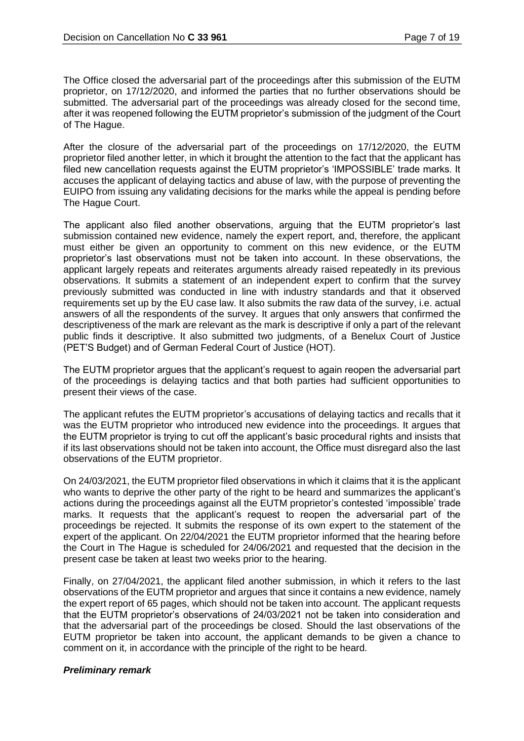The Office closed the adversarial part of the proceedings after this submission of the EUTM proprietor, on 17/12/2020, and informed the parties that no further observations should be submitted. The adversarial part of the proceedings was already closed for the second time, after it was reopened following the EUTM proprietor's submission of the judgment of the Court of The Hague.

After the closure of the adversarial part of the proceedings on 17/12/2020, the EUTM proprietor filed another letter, in which it brought the attention to the fact that the applicant has filed new cancellation requests against the EUTM proprietor's 'IMPOSSIBLE' trade marks. It accuses the applicant of delaying tactics and abuse of law, with the purpose of preventing the EUIPO from issuing any validating decisions for the marks while the appeal is pending before The Hague Court.

The applicant also filed another observations, arguing that the EUTM proprietor's last submission contained new evidence, namely the expert report, and, therefore, the applicant must either be given an opportunity to comment on this new evidence, or the EUTM proprietor's last observations must not be taken into account. In these observations, the applicant largely repeats and reiterates arguments already raised repeatedly in its previous observations. It submits a statement of an independent expert to confirm that the survey previously submitted was conducted in line with industry standards and that it observed requirements set up by the EU case law. It also submits the raw data of the survey, i.e. actual answers of all the respondents of the survey. It argues that only answers that confirmed the descriptiveness of the mark are relevant as the mark is descriptive if only a part of the relevant public finds it descriptive. It also submitted two judgments, of a Benelux Court of Justice (PET'S Budget) and of German Federal Court of Justice (HOT).

The EUTM proprietor argues that the applicant's request to again reopen the adversarial part of the proceedings is delaying tactics and that both parties had sufficient opportunities to present their views of the case.

The applicant refutes the EUTM proprietor's accusations of delaying tactics and recalls that it was the EUTM proprietor who introduced new evidence into the proceedings. It argues that the EUTM proprietor is trying to cut off the applicant's basic procedural rights and insists that if its last observations should not be taken into account, the Office must disregard also the last observations of the EUTM proprietor.

On 24/03/2021, the EUTM proprietor filed observations in which it claims that it is the applicant who wants to deprive the other party of the right to be heard and summarizes the applicant's actions during the proceedings against all the EUTM proprietor's contested 'impossible' trade marks. It requests that the applicant's request to reopen the adversarial part of the proceedings be rejected. It submits the response of its own expert to the statement of the expert of the applicant. On 22/04/2021 the EUTM proprietor informed that the hearing before the Court in The Hague is scheduled for 24/06/2021 and requested that the decision in the present case be taken at least two weeks prior to the hearing.

Finally, on 27/04/2021, the applicant filed another submission, in which it refers to the last observations of the EUTM proprietor and argues that since it contains a new evidence, namely the expert report of 65 pages, which should not be taken into account. The applicant requests that the EUTM proprietor's observations of 24/03/2021 not be taken into consideration and that the adversarial part of the proceedings be closed. Should the last observations of the EUTM proprietor be taken into account, the applicant demands to be given a chance to comment on it, in accordance with the principle of the right to be heard.

#### *Preliminary remark*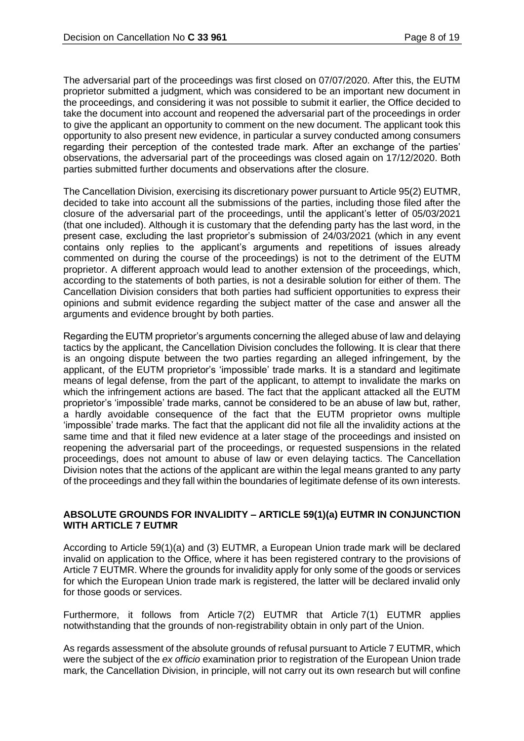The adversarial part of the proceedings was first closed on 07/07/2020. After this, the EUTM proprietor submitted a judgment, which was considered to be an important new document in the proceedings, and considering it was not possible to submit it earlier, the Office decided to take the document into account and reopened the adversarial part of the proceedings in order to give the applicant an opportunity to comment on the new document. The applicant took this opportunity to also present new evidence, in particular a survey conducted among consumers regarding their perception of the contested trade mark. After an exchange of the parties' observations, the adversarial part of the proceedings was closed again on 17/12/2020. Both parties submitted further documents and observations after the closure.

The Cancellation Division, exercising its discretionary power pursuant to Article 95(2) EUTMR, decided to take into account all the submissions of the parties, including those filed after the closure of the adversarial part of the proceedings, until the applicant's letter of 05/03/2021 (that one included). Although it is customary that the defending party has the last word, in the present case, excluding the last proprietor's submission of 24/03/2021 (which in any event contains only replies to the applicant's arguments and repetitions of issues already commented on during the course of the proceedings) is not to the detriment of the EUTM proprietor. A different approach would lead to another extension of the proceedings, which, according to the statements of both parties, is not a desirable solution for either of them. The Cancellation Division considers that both parties had sufficient opportunities to express their opinions and submit evidence regarding the subject matter of the case and answer all the arguments and evidence brought by both parties.

Regarding the EUTM proprietor's arguments concerning the alleged abuse of law and delaying tactics by the applicant, the Cancellation Division concludes the following. It is clear that there is an ongoing dispute between the two parties regarding an alleged infringement, by the applicant, of the EUTM proprietor's 'impossible' trade marks. It is a standard and legitimate means of legal defense, from the part of the applicant, to attempt to invalidate the marks on which the infringement actions are based. The fact that the applicant attacked all the EUTM proprietor's 'impossible' trade marks, cannot be considered to be an abuse of law but, rather, a hardly avoidable consequence of the fact that the EUTM proprietor owns multiple 'impossible' trade marks. The fact that the applicant did not file all the invalidity actions at the same time and that it filed new evidence at a later stage of the proceedings and insisted on reopening the adversarial part of the proceedings, or requested suspensions in the related proceedings, does not amount to abuse of law or even delaying tactics. The Cancellation Division notes that the actions of the applicant are within the legal means granted to any party of the proceedings and they fall within the boundaries of legitimate defense of its own interests.

### **ABSOLUTE GROUNDS FOR INVALIDITY – ARTICLE 59(1)(a) EUTMR IN CONJUNCTION WITH ARTICLE 7 EUTMR**

According to Article 59(1)(a) and (3) EUTMR, a European Union trade mark will be declared invalid on application to the Office, where it has been registered contrary to the provisions of Article 7 EUTMR. Where the grounds for invalidity apply for only some of the goods or services for which the European Union trade mark is registered, the latter will be declared invalid only for those goods or services.

Furthermore, it follows from Article 7(2) EUTMR that Article 7(1) EUTMR applies notwithstanding that the grounds of non‑registrability obtain in only part of the Union.

As regards assessment of the absolute grounds of refusal pursuant to Article 7 EUTMR, which were the subject of the *ex officio* examination prior to registration of the European Union trade mark, the Cancellation Division, in principle, will not carry out its own research but will confine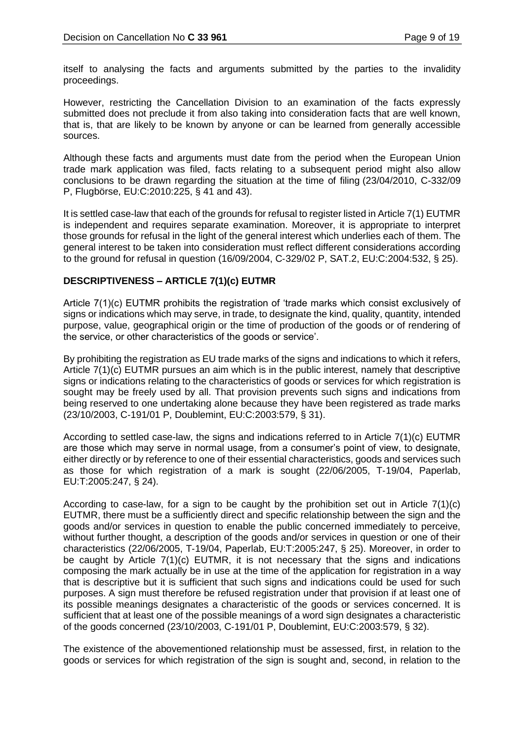itself to analysing the facts and arguments submitted by the parties to the invalidity proceedings.

However, restricting the Cancellation Division to an examination of the facts expressly submitted does not preclude it from also taking into consideration facts that are well known, that is, that are likely to be known by anyone or can be learned from generally accessible sources.

Although these facts and arguments must date from the period when the European Union trade mark application was filed, facts relating to a subsequent period might also allow conclusions to be drawn regarding the situation at the time of filing (23/04/2010, C-332/09 P, Flugbörse, EU:C:2010:225, § 41 and 43).

It is settled case-law that each of the grounds for refusal to register listed in Article 7(1) EUTMR is independent and requires separate examination. Moreover, it is appropriate to interpret those grounds for refusal in the light of the general interest which underlies each of them. The general interest to be taken into consideration must reflect different considerations according to the ground for refusal in question (16/09/2004, C‑329/02 P, SAT.2, EU:C:2004:532, § 25).

## **DESCRIPTIVENESS – ARTICLE 7(1)(c) EUTMR**

Article 7(1)(c) EUTMR prohibits the registration of 'trade marks which consist exclusively of signs or indications which may serve, in trade, to designate the kind, quality, quantity, intended purpose, value, geographical origin or the time of production of the goods or of rendering of the service, or other characteristics of the goods or service'.

By prohibiting the registration as EU trade marks of the signs and indications to which it refers, Article 7(1)(c) EUTMR pursues an aim which is in the public interest, namely that descriptive signs or indications relating to the characteristics of goods or services for which registration is sought may be freely used by all. That provision prevents such signs and indications from being reserved to one undertaking alone because they have been registered as trade marks (23/10/2003, C‑191/01 P, Doublemint, EU:C:2003:579, § 31).

According to settled case-law, the signs and indications referred to in Article 7(1)(c) EUTMR are those which may serve in normal usage, from a consumer's point of view, to designate, either directly or by reference to one of their essential characteristics, goods and services such as those for which registration of a mark is sought (22/06/2005, T‑19/04, Paperlab, EU:T:2005:247, § 24).

According to case-law, for a sign to be caught by the prohibition set out in Article 7(1)(c) EUTMR, there must be a sufficiently direct and specific relationship between the sign and the goods and/or services in question to enable the public concerned immediately to perceive, without further thought, a description of the goods and/or services in question or one of their characteristics (22/06/2005, T‑19/04, Paperlab, EU:T:2005:247, § 25). Moreover, in order to be caught by Article 7(1)(c) EUTMR, it is not necessary that the signs and indications composing the mark actually be in use at the time of the application for registration in a way that is descriptive but it is sufficient that such signs and indications could be used for such purposes. A sign must therefore be refused registration under that provision if at least one of its possible meanings designates a characteristic of the goods or services concerned. It is sufficient that at least one of the possible meanings of a word sign designates a characteristic of the goods concerned (23/10/2003, C‑191/01 P, Doublemint, EU:C:2003:579, § 32).

The existence of the abovementioned relationship must be assessed, first, in relation to the goods or services for which registration of the sign is sought and, second, in relation to the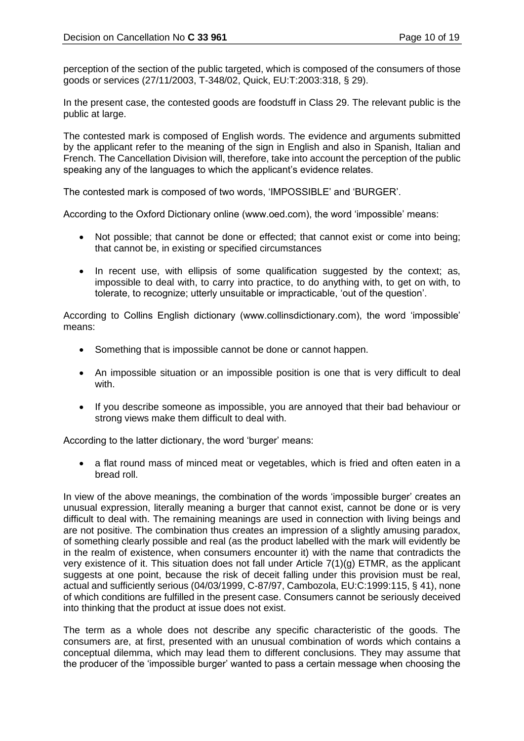perception of the section of the public targeted, which is composed of the consumers of those goods or services (27/11/2003, T‑348/02, Quick, EU:T:2003:318, § 29).

In the present case, the contested goods are foodstuff in Class 29. The relevant public is the public at large.

The contested mark is composed of English words. The evidence and arguments submitted by the applicant refer to the meaning of the sign in English and also in Spanish, Italian and French. The Cancellation Division will, therefore, take into account the perception of the public speaking any of the languages to which the applicant's evidence relates.

The contested mark is composed of two words, 'IMPOSSIBLE' and 'BURGER'.

According to the Oxford Dictionary online (www.oed.com), the word 'impossible' means:

- Not possible; that cannot be done or effected; that cannot exist or come into being; that cannot be, in existing or specified circumstances
- In recent use, with ellipsis of some qualification suggested by the context; as, impossible to deal with, to carry into practice, to do anything with, to get on with, to tolerate, to recognize; utterly unsuitable or impracticable, 'out of the question'.

According to Collins English dictionary (www.collinsdictionary.com), the word 'impossible' means:

- Something that is impossible cannot be done or cannot happen.
- An impossible situation or an impossible position is one that is very difficult to deal with.
- If you describe someone as impossible, you are annoyed that their bad behaviour or strong views make them difficult to deal with.

According to the latter dictionary, the word 'burger' means:

• a flat round mass of minced meat or vegetables, which is fried and often eaten in a bread roll.

In view of the above meanings, the combination of the words 'impossible burger' creates an unusual expression, literally meaning a burger that cannot exist, cannot be done or is very difficult to deal with. The remaining meanings are used in connection with living beings and are not positive. The combination thus creates an impression of a slightly amusing paradox, of something clearly possible and real (as the product labelled with the mark will evidently be in the realm of existence, when consumers encounter it) with the name that contradicts the very existence of it. This situation does not fall under Article 7(1)(g) ETMR, as the applicant suggests at one point, because the risk of deceit falling under this provision must be real, actual and sufficiently serious (04/03/1999, C-87/97, Cambozola, EU:C:1999:115, § 41), none of which conditions are fulfilled in the present case. Consumers cannot be seriously deceived into thinking that the product at issue does not exist.

The term as a whole does not describe any specific characteristic of the goods. The consumers are, at first, presented with an unusual combination of words which contains a conceptual dilemma, which may lead them to different conclusions. They may assume that the producer of the 'impossible burger' wanted to pass a certain message when choosing the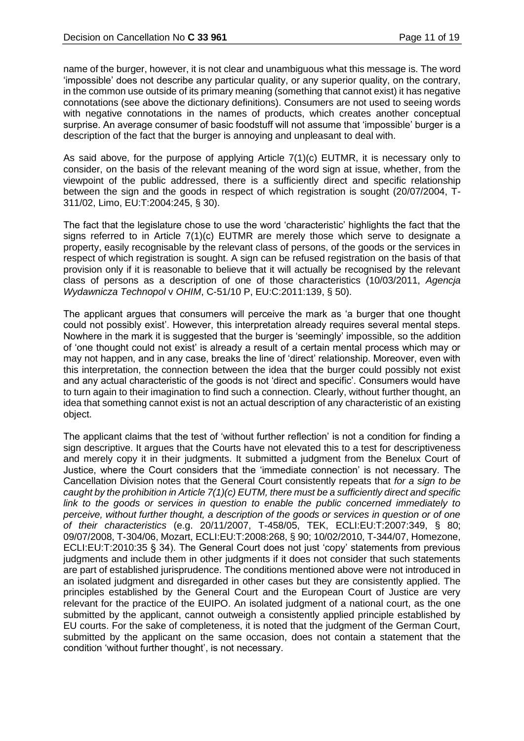name of the burger, however, it is not clear and unambiguous what this message is. The word 'impossible' does not describe any particular quality, or any superior quality, on the contrary, in the common use outside of its primary meaning (something that cannot exist) it has negative connotations (see above the dictionary definitions). Consumers are not used to seeing words with negative connotations in the names of products, which creates another conceptual surprise. An average consumer of basic foodstuff will not assume that 'impossible' burger is a description of the fact that the burger is annoying and unpleasant to deal with.

As said above, for the purpose of applying Article 7(1)(c) EUTMR, it is necessary only to consider, on the basis of the relevant meaning of the word sign at issue, whether, from the viewpoint of the public addressed, there is a sufficiently direct and specific relationship between the sign and the goods in respect of which registration is sought (20/07/2004, T-311/02, Limo, EU:T:2004:245, § 30).

The fact that the legislature chose to use the word 'characteristic' highlights the fact that the signs referred to in Article 7(1)(c) EUTMR are merely those which serve to designate a property, easily recognisable by the relevant class of persons, of the goods or the services in respect of which registration is sought. A sign can be refused registration on the basis of that provision only if it is reasonable to believe that it will actually be recognised by the relevant class of persons as a description of one of those characteristics (10/03/2011, *Agencja Wydawnicza Technopol* v *OHIM*, C-51/10 P, EU:C:2011:139, § 50).

The applicant argues that consumers will perceive the mark as 'a burger that one thought could not possibly exist'. However, this interpretation already requires several mental steps. Nowhere in the mark it is suggested that the burger is 'seemingly' impossible, so the addition of 'one thought could not exist' is already a result of a certain mental process which may or may not happen, and in any case, breaks the line of 'direct' relationship. Moreover, even with this interpretation, the connection between the idea that the burger could possibly not exist and any actual characteristic of the goods is not 'direct and specific'. Consumers would have to turn again to their imagination to find such a connection. Clearly, without further thought, an idea that something cannot exist is not an actual description of any characteristic of an existing object.

The applicant claims that the test of 'without further reflection' is not a condition for finding a sign descriptive. It argues that the Courts have not elevated this to a test for descriptiveness and merely copy it in their judgments. It submitted a judgment from the Benelux Court of Justice, where the Court considers that the 'immediate connection' is not necessary. The Cancellation Division notes that the General Court consistently repeats that *for a sign to be caught by the prohibition in Article 7(1)(c) EUTM, there must be a sufficiently direct and specific link to the goods or services in question to enable the public concerned immediately to perceive, without further thought, a description of the goods or services in question or of one of their characteristics* (e.g. 20/11/2007, T-458/05, TEK, ECLI:EU:T:2007:349, § 80; 09/07/2008, T-304/06, Mozart, ECLI:EU:T:2008:268, § 90; 10/02/2010, T-344/07, Homezone, ECLI:EU:T:2010:35 § 34). The General Court does not just 'copy' statements from previous judgments and include them in other judgments if it does not consider that such statements are part of established jurisprudence. The conditions mentioned above were not introduced in an isolated judgment and disregarded in other cases but they are consistently applied. The principles established by the General Court and the European Court of Justice are very relevant for the practice of the EUIPO. An isolated judgment of a national court, as the one submitted by the applicant, cannot outweigh a consistently applied principle established by EU courts. For the sake of completeness, it is noted that the judgment of the German Court, submitted by the applicant on the same occasion, does not contain a statement that the condition 'without further thought', is not necessary.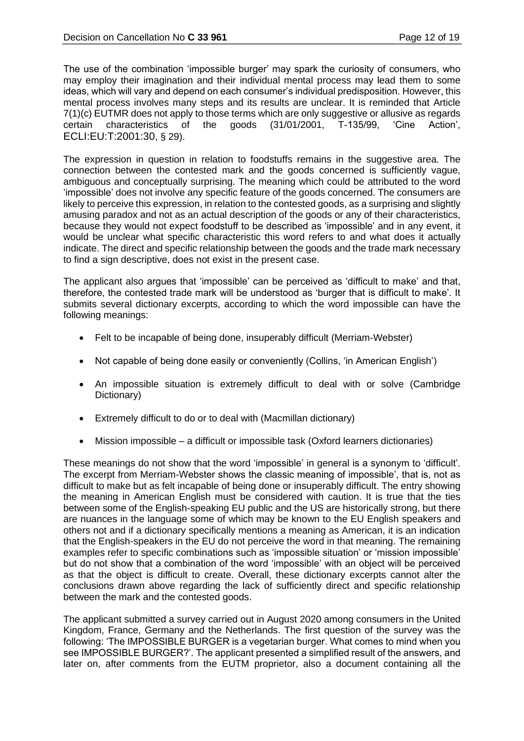The use of the combination 'impossible burger' may spark the curiosity of consumers, who may employ their imagination and their individual mental process may lead them to some ideas, which will vary and depend on each consumer's individual predisposition. However, this mental process involves many steps and its results are unclear. It is reminded that Article 7(1)(c) EUTMR does not apply to those terms which are only suggestive or allusive as regards certain characteristics of the goods (31/01/2001, T-135/99, 'Cine Action', ECLI:EU:T:2001:30, § 29).

The expression in question in relation to foodstuffs remains in the suggestive area. The connection between the contested mark and the goods concerned is sufficiently vague, ambiguous and conceptually surprising. The meaning which could be attributed to the word 'impossible' does not involve any specific feature of the goods concerned. The consumers are likely to perceive this expression, in relation to the contested goods, as a surprising and slightly amusing paradox and not as an actual description of the goods or any of their characteristics, because they would not expect foodstuff to be described as 'impossible' and in any event, it would be unclear what specific characteristic this word refers to and what does it actually indicate. The direct and specific relationship between the goods and the trade mark necessary to find a sign descriptive, does not exist in the present case.

The applicant also argues that 'impossible' can be perceived as 'difficult to make' and that, therefore, the contested trade mark will be understood as 'burger that is difficult to make'. It submits several dictionary excerpts, according to which the word impossible can have the following meanings:

- Felt to be incapable of being done, insuperably difficult (Merriam-Webster)
- Not capable of being done easily or conveniently (Collins, 'in American English')
- An impossible situation is extremely difficult to deal with or solve (Cambridge Dictionary)
- Extremely difficult to do or to deal with (Macmillan dictionary)
- Mission impossible a difficult or impossible task (Oxford learners dictionaries)

These meanings do not show that the word 'impossible' in general is a synonym to 'difficult'. The excerpt from Merriam-Webster shows the classic meaning of impossible', that is, not as difficult to make but as felt incapable of being done or insuperably difficult. The entry showing the meaning in American English must be considered with caution. It is true that the ties between some of the English-speaking EU public and the US are historically strong, but there are nuances in the language some of which may be known to the EU English speakers and others not and if a dictionary specifically mentions a meaning as American, it is an indication that the English-speakers in the EU do not perceive the word in that meaning. The remaining examples refer to specific combinations such as 'impossible situation' or 'mission impossible' but do not show that a combination of the word 'impossible' with an object will be perceived as that the object is difficult to create. Overall, these dictionary excerpts cannot alter the conclusions drawn above regarding the lack of sufficiently direct and specific relationship between the mark and the contested goods.

The applicant submitted a survey carried out in August 2020 among consumers in the United Kingdom, France, Germany and the Netherlands. The first question of the survey was the following: 'The IMPOSSIBLE BURGER is a vegetarian burger. What comes to mind when you see IMPOSSIBLE BURGER?'. The applicant presented a simplified result of the answers, and later on, after comments from the EUTM proprietor, also a document containing all the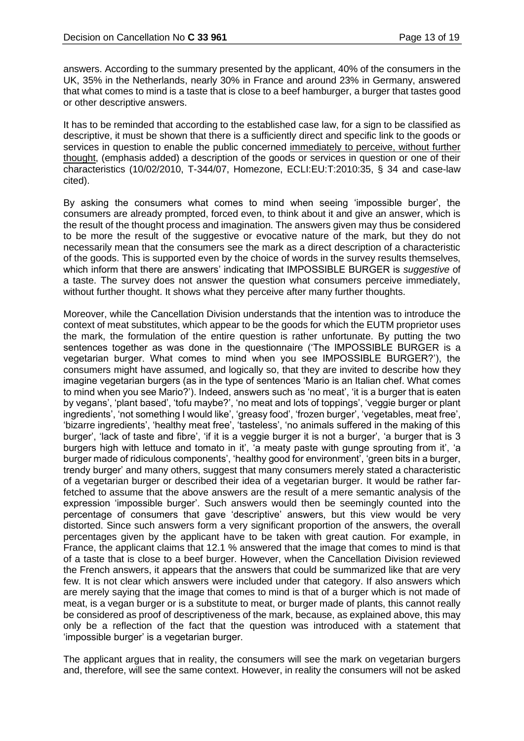answers. According to the summary presented by the applicant, 40% of the consumers in the UK, 35% in the Netherlands, nearly 30% in France and around 23% in Germany, answered that what comes to mind is a taste that is close to a beef hamburger, a burger that tastes good or other descriptive answers.

It has to be reminded that according to the established case law, for a sign to be classified as descriptive, it must be shown that there is a sufficiently direct and specific link to the goods or services in question to enable the public concerned immediately to perceive, without further thought, (emphasis added) a description of the goods or services in question or one of their characteristics (10/02/2010, T-344/07, Homezone, ECLI:EU:T:2010:35, § 34 and case-law cited).

By asking the consumers what comes to mind when seeing 'impossible burger', the consumers are already prompted, forced even, to think about it and give an answer, which is the result of the thought process and imagination. The answers given may thus be considered to be more the result of the suggestive or evocative nature of the mark, but they do not necessarily mean that the consumers see the mark as a direct description of a characteristic of the goods. This is supported even by the choice of words in the survey results themselves, which inform that there are answers' indicating that IMPOSSIBLE BURGER is *suggestive* of a taste. The survey does not answer the question what consumers perceive immediately, without further thought. It shows what they perceive after many further thoughts.

Moreover, while the Cancellation Division understands that the intention was to introduce the context of meat substitutes, which appear to be the goods for which the EUTM proprietor uses the mark, the formulation of the entire question is rather unfortunate. By putting the two sentences together as was done in the questionnaire ('The IMPOSSIBLE BURGER is a vegetarian burger. What comes to mind when you see IMPOSSIBLE BURGER?'), the consumers might have assumed, and logically so, that they are invited to describe how they imagine vegetarian burgers (as in the type of sentences 'Mario is an Italian chef. What comes to mind when you see Mario?'). Indeed, answers such as 'no meat', 'it is a burger that is eaten by vegans', 'plant based', 'tofu maybe?', 'no meat and lots of toppings', 'veggie burger or plant ingredients', 'not something I would like', 'greasy food', 'frozen burger', 'vegetables, meat free', 'bizarre ingredients', 'healthy meat free', 'tasteless', 'no animals suffered in the making of this burger', 'lack of taste and fibre', 'if it is a veggie burger it is not a burger', 'a burger that is 3 burgers high with lettuce and tomato in it', 'a meaty paste with gunge sprouting from it', 'a burger made of ridiculous components', 'healthy good for environment', 'green bits in a burger, trendy burger' and many others, suggest that many consumers merely stated a characteristic of a vegetarian burger or described their idea of a vegetarian burger. It would be rather farfetched to assume that the above answers are the result of a mere semantic analysis of the expression 'impossible burger'. Such answers would then be seemingly counted into the percentage of consumers that gave 'descriptive' answers, but this view would be very distorted. Since such answers form a very significant proportion of the answers, the overall percentages given by the applicant have to be taken with great caution. For example, in France, the applicant claims that 12.1 % answered that the image that comes to mind is that of a taste that is close to a beef burger. However, when the Cancellation Division reviewed the French answers, it appears that the answers that could be summarized like that are very few. It is not clear which answers were included under that category. If also answers which are merely saying that the image that comes to mind is that of a burger which is not made of meat, is a vegan burger or is a substitute to meat, or burger made of plants, this cannot really be considered as proof of descriptiveness of the mark, because, as explained above, this may only be a reflection of the fact that the question was introduced with a statement that 'impossible burger' is a vegetarian burger.

The applicant argues that in reality, the consumers will see the mark on vegetarian burgers and, therefore, will see the same context. However, in reality the consumers will not be asked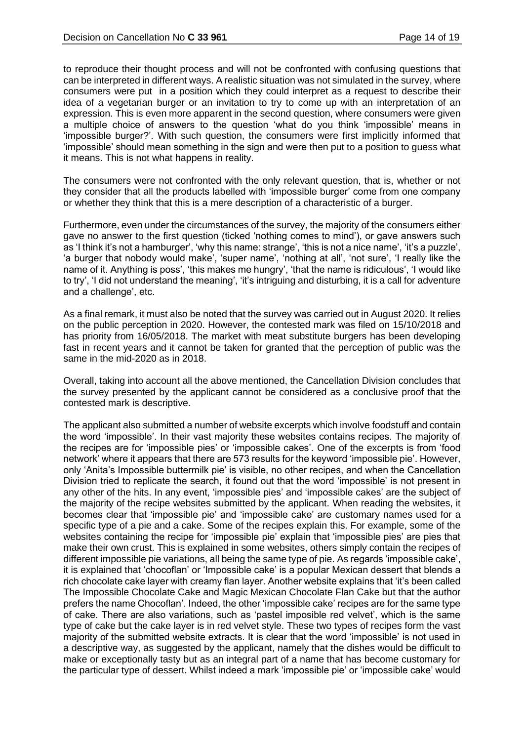to reproduce their thought process and will not be confronted with confusing questions that can be interpreted in different ways. A realistic situation was not simulated in the survey, where consumers were put in a position which they could interpret as a request to describe their idea of a vegetarian burger or an invitation to try to come up with an interpretation of an expression. This is even more apparent in the second question, where consumers were given a multiple choice of answers to the question 'what do you think 'impossible' means in 'impossible burger?'. With such question, the consumers were first implicitly informed that 'impossible' should mean something in the sign and were then put to a position to guess what it means. This is not what happens in reality.

The consumers were not confronted with the only relevant question, that is, whether or not they consider that all the products labelled with 'impossible burger' come from one company or whether they think that this is a mere description of a characteristic of a burger.

Furthermore, even under the circumstances of the survey, the majority of the consumers either gave no answer to the first question (ticked 'nothing comes to mind'), or gave answers such as 'I think it's not a hamburger', 'why this name: strange', 'this is not a nice name', 'it's a puzzle', 'a burger that nobody would make', 'super name', 'nothing at all', 'not sure', 'I really like the name of it. Anything is poss', 'this makes me hungry', 'that the name is ridiculous', 'I would like to try', 'I did not understand the meaning', 'it's intriguing and disturbing, it is a call for adventure and a challenge', etc.

As a final remark, it must also be noted that the survey was carried out in August 2020. It relies on the public perception in 2020. However, the contested mark was filed on 15/10/2018 and has priority from 16/05/2018. The market with meat substitute burgers has been developing fast in recent years and it cannot be taken for granted that the perception of public was the same in the mid-2020 as in 2018.

Overall, taking into account all the above mentioned, the Cancellation Division concludes that the survey presented by the applicant cannot be considered as a conclusive proof that the contested mark is descriptive.

The applicant also submitted a number of website excerpts which involve foodstuff and contain the word 'impossible'. In their vast majority these websites contains recipes. The majority of the recipes are for 'impossible pies' or 'impossible cakes'. One of the excerpts is from 'food network' where it appears that there are 573 results for the keyword 'impossible pie'. However, only 'Anita's Impossible buttermilk pie' is visible, no other recipes, and when the Cancellation Division tried to replicate the search, it found out that the word 'impossible' is not present in any other of the hits. In any event, 'impossible pies' and 'impossible cakes' are the subject of the majority of the recipe websites submitted by the applicant. When reading the websites, it becomes clear that 'impossible pie' and 'impossible cake' are customary names used for a specific type of a pie and a cake. Some of the recipes explain this. For example, some of the websites containing the recipe for 'impossible pie' explain that 'impossible pies' are pies that make their own crust. This is explained in some websites, others simply contain the recipes of different impossible pie variations, all being the same type of pie. As regards 'impossible cake', it is explained that 'chocoflan' or 'Impossible cake' is a popular Mexican dessert that blends a rich chocolate cake layer with creamy flan layer. Another website explains that 'it's been called The Impossible Chocolate Cake and Magic Mexican Chocolate Flan Cake but that the author prefers the name Chocoflan'. Indeed, the other 'impossible cake' recipes are for the same type of cake. There are also variations, such as 'pastel imposible red velvet', which is the same type of cake but the cake layer is in red velvet style. These two types of recipes form the vast majority of the submitted website extracts. It is clear that the word 'impossible' is not used in a descriptive way, as suggested by the applicant, namely that the dishes would be difficult to make or exceptionally tasty but as an integral part of a name that has become customary for the particular type of dessert. Whilst indeed a mark 'impossible pie' or 'impossible cake' would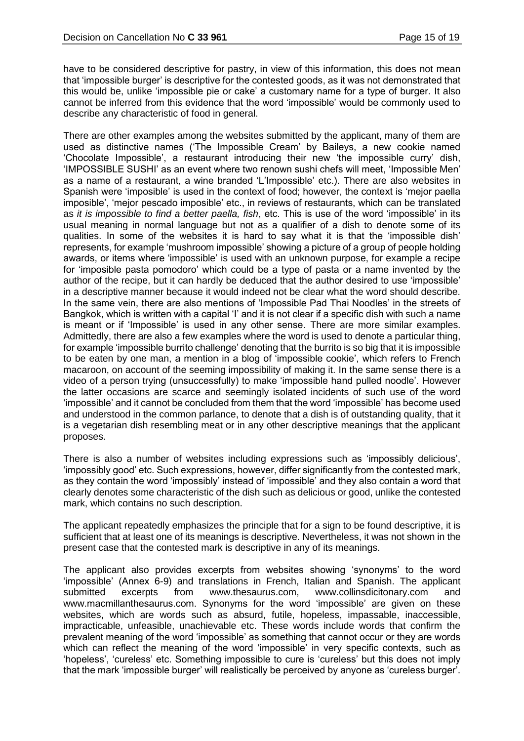have to be considered descriptive for pastry, in view of this information, this does not mean that 'impossible burger' is descriptive for the contested goods, as it was not demonstrated that this would be, unlike 'impossible pie or cake' a customary name for a type of burger. It also cannot be inferred from this evidence that the word 'impossible' would be commonly used to describe any characteristic of food in general.

There are other examples among the websites submitted by the applicant, many of them are used as distinctive names ('The Impossible Cream' by Baileys, a new cookie named 'Chocolate Impossible', a restaurant introducing their new 'the impossible curry' dish, 'IMPOSSIBLE SUSHI' as an event where two renown sushi chefs will meet, 'Impossible Men' as a name of a restaurant, a wine branded 'L'Impossible' etc.). There are also websites in Spanish were 'imposible' is used in the context of food; however, the context is 'mejor paella imposible', 'mejor pescado imposible' etc., in reviews of restaurants, which can be translated as *it is impossible to find a better paella, fish*, etc. This is use of the word 'impossible' in its usual meaning in normal language but not as a qualifier of a dish to denote some of its qualities. In some of the websites it is hard to say what it is that the 'impossible dish' represents, for example 'mushroom impossible' showing a picture of a group of people holding awards, or items where 'impossible' is used with an unknown purpose, for example a recipe for 'imposible pasta pomodoro' which could be a type of pasta or a name invented by the author of the recipe, but it can hardly be deduced that the author desired to use 'impossible' in a descriptive manner because it would indeed not be clear what the word should describe. In the same vein, there are also mentions of 'Impossible Pad Thai Noodles' in the streets of Bangkok, which is written with a capital 'I' and it is not clear if a specific dish with such a name is meant or if 'Impossible' is used in any other sense. There are more similar examples. Admittedly, there are also a few examples where the word is used to denote a particular thing, for example 'impossible burrito challenge' denoting that the burrito is so big that it is impossible to be eaten by one man, a mention in a blog of 'impossible cookie', which refers to French macaroon, on account of the seeming impossibility of making it. In the same sense there is a video of a person trying (unsuccessfully) to make 'impossible hand pulled noodle'. However the latter occasions are scarce and seemingly isolated incidents of such use of the word 'impossible' and it cannot be concluded from them that the word 'impossible' has become used and understood in the common parlance, to denote that a dish is of outstanding quality, that it is a vegetarian dish resembling meat or in any other descriptive meanings that the applicant proposes.

There is also a number of websites including expressions such as 'impossibly delicious', 'impossibly good' etc. Such expressions, however, differ significantly from the contested mark, as they contain the word 'impossibly' instead of 'impossible' and they also contain a word that clearly denotes some characteristic of the dish such as delicious or good, unlike the contested mark, which contains no such description.

The applicant repeatedly emphasizes the principle that for a sign to be found descriptive, it is sufficient that at least one of its meanings is descriptive. Nevertheless, it was not shown in the present case that the contested mark is descriptive in any of its meanings.

The applicant also provides excerpts from websites showing 'synonyms' to the word 'impossible' (Annex 6-9) and translations in French, Italian and Spanish. The applicant submitted excerpts from www.thesaurus.com, www.collinsdicitonary.com and www.macmillanthesaurus.com. Synonyms for the word 'impossible' are given on these websites, which are words such as absurd, futile, hopeless, impassable, inaccessible, impracticable, unfeasible, unachievable etc. These words include words that confirm the prevalent meaning of the word 'impossible' as something that cannot occur or they are words which can reflect the meaning of the word 'impossible' in very specific contexts, such as 'hopeless', 'cureless' etc. Something impossible to cure is 'cureless' but this does not imply that the mark 'impossible burger' will realistically be perceived by anyone as 'cureless burger'.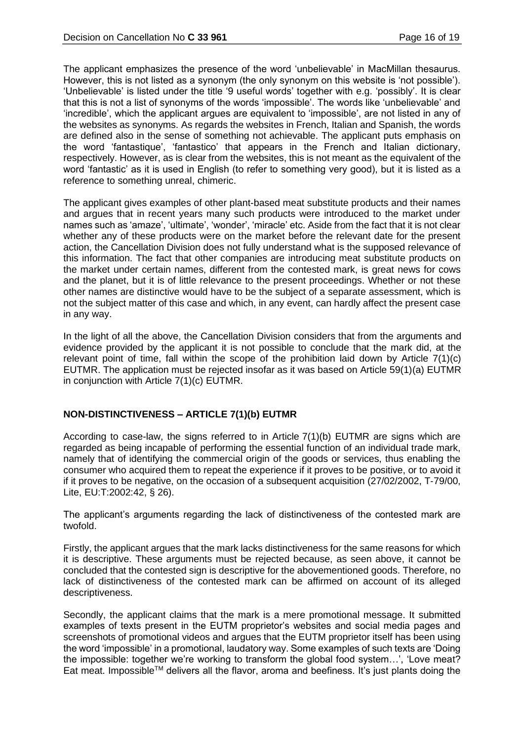The applicant emphasizes the presence of the word 'unbelievable' in MacMillan thesaurus. However, this is not listed as a synonym (the only synonym on this website is 'not possible'). 'Unbelievable' is listed under the title '9 useful words' together with e.g. 'possibly'. It is clear that this is not a list of synonyms of the words 'impossible'. The words like 'unbelievable' and 'incredible', which the applicant argues are equivalent to 'impossible', are not listed in any of the websites as synonyms. As regards the websites in French, Italian and Spanish, the words are defined also in the sense of something not achievable. The applicant puts emphasis on the word 'fantastique', 'fantastico' that appears in the French and Italian dictionary, respectively. However, as is clear from the websites, this is not meant as the equivalent of the word 'fantastic' as it is used in English (to refer to something very good), but it is listed as a reference to something unreal, chimeric.

The applicant gives examples of other plant-based meat substitute products and their names and argues that in recent years many such products were introduced to the market under names such as 'amaze', 'ultimate', 'wonder', 'miracle' etc. Aside from the fact that it is not clear whether any of these products were on the market before the relevant date for the present action, the Cancellation Division does not fully understand what is the supposed relevance of this information. The fact that other companies are introducing meat substitute products on the market under certain names, different from the contested mark, is great news for cows and the planet, but it is of little relevance to the present proceedings. Whether or not these other names are distinctive would have to be the subject of a separate assessment, which is not the subject matter of this case and which, in any event, can hardly affect the present case in any way.

In the light of all the above, the Cancellation Division considers that from the arguments and evidence provided by the applicant it is not possible to conclude that the mark did, at the relevant point of time, fall within the scope of the prohibition laid down by Article  $7(1)(c)$ EUTMR. The application must be rejected insofar as it was based on Article 59(1)(a) EUTMR in conjunction with Article 7(1)(c) EUTMR.

# **NON-DISTINCTIVENESS – ARTICLE 7(1)(b) EUTMR**

According to case-law, the signs referred to in Article 7(1)(b) EUTMR are signs which are regarded as being incapable of performing the essential function of an individual trade mark, namely that of identifying the commercial origin of the goods or services, thus enabling the consumer who acquired them to repeat the experience if it proves to be positive, or to avoid it if it proves to be negative, on the occasion of a subsequent acquisition (27/02/2002, T‑79/00, Lite, EU:T:2002:42, § 26).

The applicant's arguments regarding the lack of distinctiveness of the contested mark are twofold.

Firstly, the applicant argues that the mark lacks distinctiveness for the same reasons for which it is descriptive. These arguments must be rejected because, as seen above, it cannot be concluded that the contested sign is descriptive for the abovementioned goods. Therefore, no lack of distinctiveness of the contested mark can be affirmed on account of its alleged descriptiveness.

Secondly, the applicant claims that the mark is a mere promotional message. It submitted examples of texts present in the EUTM proprietor's websites and social media pages and screenshots of promotional videos and argues that the EUTM proprietor itself has been using the word 'impossible' in a promotional, laudatory way. Some examples of such texts are 'Doing the impossible: together we're working to transform the global food system…', 'Love meat? Eat meat. Impossible<sup>TM</sup> delivers all the flavor, aroma and beefiness. It's just plants doing the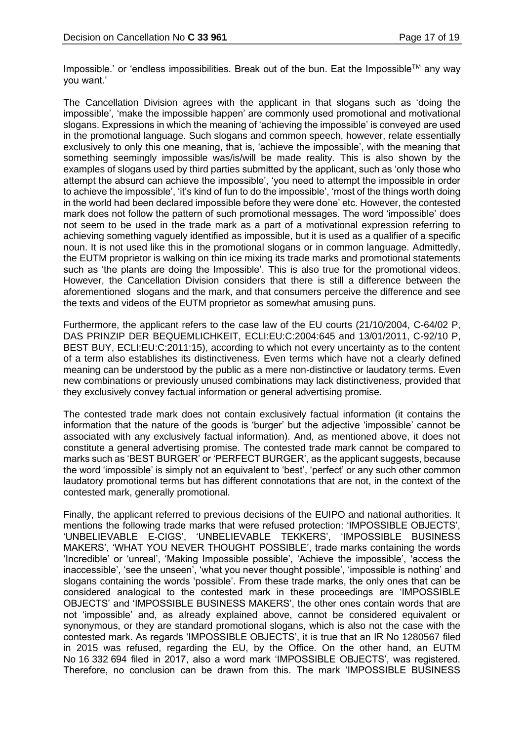Impossible.' or 'endless impossibilities. Break out of the bun. Eat the Impossible™ any way you want.'

The Cancellation Division agrees with the applicant in that slogans such as 'doing the impossible', 'make the impossible happen' are commonly used promotional and motivational slogans. Expressions in which the meaning of 'achieving the impossible' is conveyed are used in the promotional language. Such slogans and common speech, however, relate essentially exclusively to only this one meaning, that is, 'achieve the impossible', with the meaning that something seemingly impossible was/is/will be made reality. This is also shown by the examples of slogans used by third parties submitted by the applicant, such as 'only those who attempt the absurd can achieve the impossible', 'you need to attempt the impossible in order to achieve the impossible', 'it's kind of fun to do the impossible', 'most of the things worth doing in the world had been declared impossible before they were done' etc. However, the contested mark does not follow the pattern of such promotional messages. The word 'impossible' does not seem to be used in the trade mark as a part of a motivational expression referring to achieving something vaguely identified as impossible, but it is used as a qualifier of a specific noun. It is not used like this in the promotional slogans or in common language. Admittedly, the EUTM proprietor is walking on thin ice mixing its trade marks and promotional statements such as 'the plants are doing the Impossible'. This is also true for the promotional videos. However, the Cancellation Division considers that there is still a difference between the aforementioned slogans and the mark, and that consumers perceive the difference and see the texts and videos of the EUTM proprietor as somewhat amusing puns.

Furthermore, the applicant refers to the case law of the EU courts (21/10/2004, C-64/02 P, DAS PRINZIP DER BEQUEMLICHKEIT, ECLI:EU:C:2004:645 and 13/01/2011, C-92/10 P, BEST BUY, ECLI:EU:C:2011:15), according to which not every uncertainty as to the content of a term also establishes its distinctiveness. Even terms which have not a clearly defined meaning can be understood by the public as a mere non-distinctive or laudatory terms. Even new combinations or previously unused combinations may lack distinctiveness, provided that they exclusively convey factual information or general advertising promise.

The contested trade mark does not contain exclusively factual information (it contains the information that the nature of the goods is 'burger' but the adjective 'impossible' cannot be associated with any exclusively factual information). And, as mentioned above, it does not constitute a general advertising promise. The contested trade mark cannot be compared to marks such as 'BEST BURGER' or 'PERFECT BURGER', as the applicant suggests, because the word 'impossible' is simply not an equivalent to 'best', 'perfect' or any such other common laudatory promotional terms but has different connotations that are not, in the context of the contested mark, generally promotional.

Finally, the applicant referred to previous decisions of the EUIPO and national authorities. It mentions the following trade marks that were refused protection: 'IMPOSSIBLE OBJECTS', 'UNBELIEVABLE E-CIGS', 'UNBELIEVABLE TEKKERS', 'IMPOSSIBLE BUSINESS MAKERS', 'WHAT YOU NEVER THOUGHT POSSIBLE', trade marks containing the words 'Incredible' or 'unreal', 'Making Impossible possible', 'Achieve the impossible', 'access the inaccessible', 'see the unseen', 'what you never thought possible', 'impossible is nothing' and slogans containing the words 'possible'. From these trade marks, the only ones that can be considered analogical to the contested mark in these proceedings are 'IMPOSSIBLE OBJECTS' and 'IMPOSSIBLE BUSINESS MAKERS', the other ones contain words that are not 'impossible' and, as already explained above, cannot be considered equivalent or synonymous, or they are standard promotional slogans, which is also not the case with the contested mark. As regards 'IMPOSSIBLE OBJECTS', it is true that an IR No 1280567 filed in 2015 was refused, regarding the EU, by the Office. On the other hand, an EUTM No 16 332 694 filed in 2017, also a word mark 'IMPOSSIBLE OBJECTS', was registered. Therefore, no conclusion can be drawn from this. The mark 'IMPOSSIBLE BUSINESS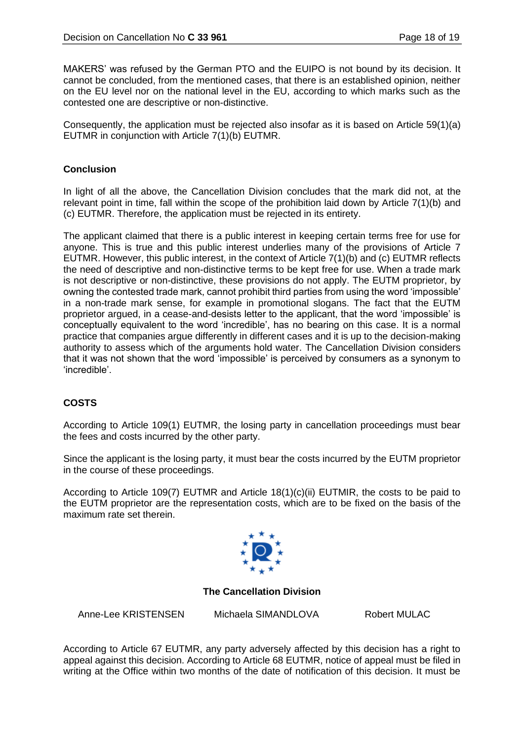MAKERS' was refused by the German PTO and the EUIPO is not bound by its decision. It cannot be concluded, from the mentioned cases, that there is an established opinion, neither on the EU level nor on the national level in the EU, according to which marks such as the contested one are descriptive or non-distinctive.

Consequently, the application must be rejected also insofar as it is based on Article 59(1)(a) EUTMR in conjunction with Article 7(1)(b) EUTMR.

### **Conclusion**

In light of all the above, the Cancellation Division concludes that the mark did not, at the relevant point in time, fall within the scope of the prohibition laid down by Article 7(1)(b) and (c) EUTMR. Therefore, the application must be rejected in its entirety.

The applicant claimed that there is a public interest in keeping certain terms free for use for anyone. This is true and this public interest underlies many of the provisions of Article 7 EUTMR. However, this public interest, in the context of Article 7(1)(b) and (c) EUTMR reflects the need of descriptive and non-distinctive terms to be kept free for use. When a trade mark is not descriptive or non-distinctive, these provisions do not apply. The EUTM proprietor, by owning the contested trade mark, cannot prohibit third parties from using the word 'impossible' in a non-trade mark sense, for example in promotional slogans. The fact that the EUTM proprietor argued, in a cease-and-desists letter to the applicant, that the word 'impossible' is conceptually equivalent to the word 'incredible', has no bearing on this case. It is a normal practice that companies argue differently in different cases and it is up to the decision-making authority to assess which of the arguments hold water. The Cancellation Division considers that it was not shown that the word 'impossible' is perceived by consumers as a synonym to 'incredible'.

# **COSTS**

According to Article 109(1) EUTMR, the losing party in cancellation proceedings must bear the fees and costs incurred by the other party.

Since the applicant is the losing party, it must bear the costs incurred by the EUTM proprietor in the course of these proceedings.

According to Article 109(7) EUTMR and Article 18(1)(c)(ii) EUTMIR, the costs to be paid to the EUTM proprietor are the representation costs, which are to be fixed on the basis of the maximum rate set therein.



#### **The Cancellation Division**

Anne-Lee KRISTENSEN Michaela SIMANDLOVA Robert MULAC

According to Article 67 EUTMR, any party adversely affected by this decision has a right to appeal against this decision. According to Article 68 EUTMR, notice of appeal must be filed in writing at the Office within two months of the date of notification of this decision. It must be